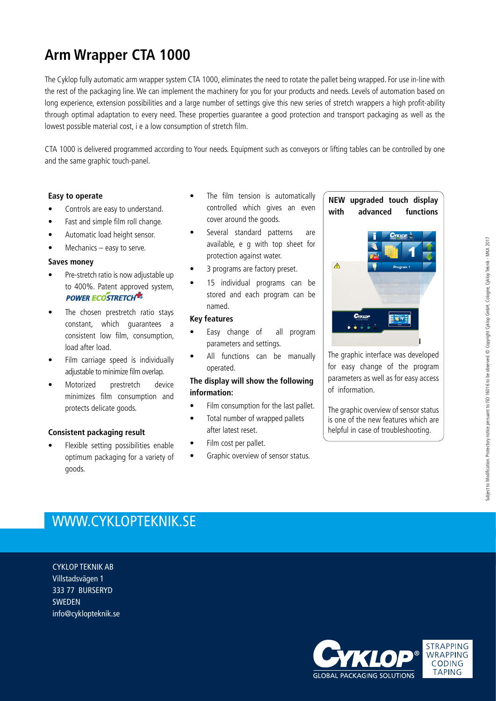## **Arm Wrapper CTA 1000**

The Cyklop fully automatic arm wrapper system CTA 1000, eliminates the need to rotate the pallet being wrapped. For use in-line with the rest of the packaging line. We can implement the machinery for you for your products and needs. Levels of automation based on long experience, extension possibilities and a large number of settings give this new series of stretch wrappers a high profit-ability through optimal adaptation to every need. These properties guarantee a good protection and transport packaging as well as the lowest possible material cost, i e a low consumption of stretch film.

CTA 1000 is delivered programmed according to Your needs. Equipment such as conveyors or lifting tables can be controlled by one and the same graphic touch-panel.

#### **Easy to operate**

- Controls are easy to understand.
- Fast and simple film roll change.
- Automatic load height sensor.
- Mechanics easy to serve.

#### **Saves money**

- Pre-stretch ratio is now adjustable up to 400%. Patent approved system, **POWER ECOSTRETCH<sup>-1</sup>**
- The chosen prestretch ratio stays constant, which guarantees a consistent low film, consumption, load after load.
- Film carriage speed is individually adjustable to minimize film overlap.
- Motorized prestretch device minimizes film consumption and protects delicate goods.

### **Consistent packaging result**

• Flexible setting possibilities enable optimum packaging for a variety of goods.

- The film tension is automatically controlled which gives an even cover around the goods.
- Several standard patterns are available, e g with top sheet for protection against water.
- 3 programs are factory preset.
- 15 individual programs can be stored and each program can be named.

#### **Key features**

- Easy change of all program parameters and settings.
- All functions can be manually operated.

### **The display will show the following information:**

- Film consumption for the last pallet.
- Total number of wrapped pallets after latest reset.
- Film cost per pallet.
- Graphic overview of sensor status.

### **NEW upgraded touch display with advanced functions**



The graphic interface was developed for easy change of the program parameters as well as for easy access of information.

The graphic overview of sensor status is one of the new features which are helpful in case of troubleshooting.

### WWW.CYKLOPTEKNIK.SE

CYKLOP TEKNIK AB Villstadsvägen 1 333 77 BURSERYD **SWEDEN** info@cyklopteknik.se

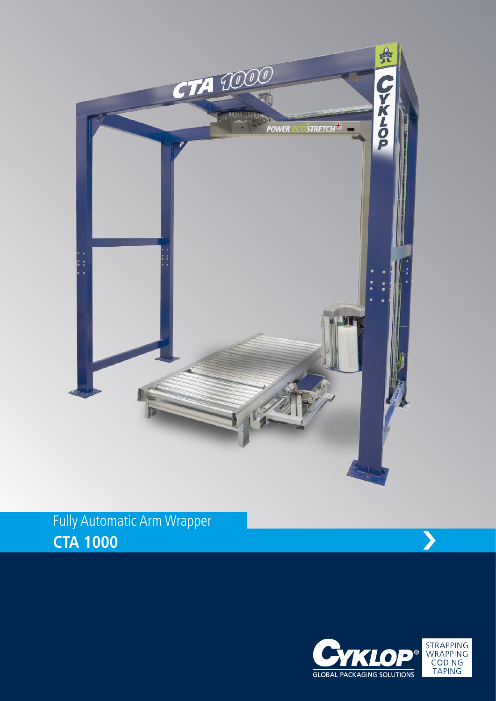

# Fully Automatic Arm Wrapper **CTA 1000**

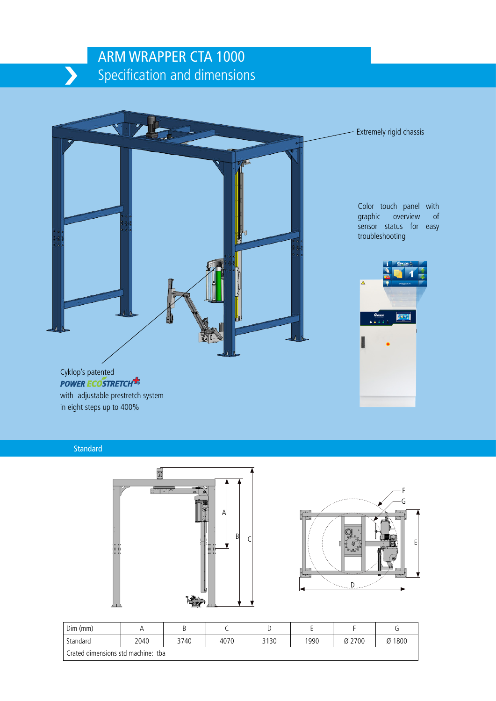### ARM WRAPPER CTA 1000 Specification and dimensions



with adjustable prestretch system in eight steps up to 400%

**Standard** 





| $Dim$ ( $mm$ )                     |      |      |      | ◡    | -    |        |        |  |
|------------------------------------|------|------|------|------|------|--------|--------|--|
| Standard                           | 2040 | 3740 | 4070 | 3130 | 1990 | Ø 2700 | Ø 1800 |  |
| Crated dimensions std machine: tba |      |      |      |      |      |        |        |  |